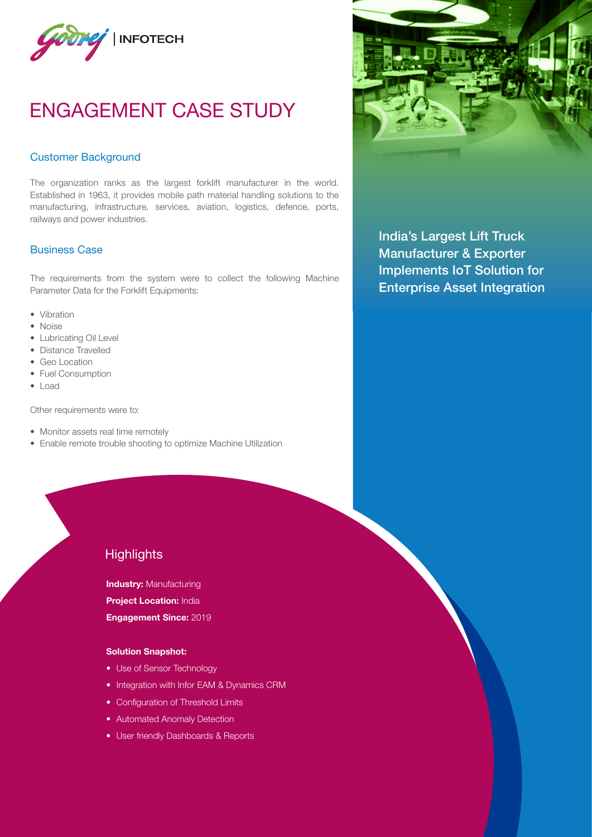

# ENGAGEMENT CASE STUDY

#### Customer Background

The organization ranks as the largest forklift manufacturer in the world. Established in 1963, it provides mobile path material handling solutions to the manufacturing, infrastructure, services, aviation, logistics, defence, ports, railways and power industries.

### Business Case

The requirements from the system were to collect the following Machine Parameter Data for the Forklift Equipments:

- Vibration
- Noise
- Lubricating Oil Level
- Distance Travelled
- Geo Location
- Fuel Consumption
- Load

Other requirements were to:

- Monitor assets real time remotely
- Enable remote trouble shooting to optimize Machine Utilization



India's Largest Lift Truck Manufacturer & Exporter Implements IoT Solution for Enterprise Asset Integration

# **Highlights**

**Industry: Manufacturing Project Location: India** 

Engagement Since: 2019

#### Solution Snapshot:

- Use of Sensor Technology
- Integration with Infor EAM & Dynamics CRM
- Configuration of Threshold Limits
- Automated Anomaly Detection
- User friendly Dashboards & Reports